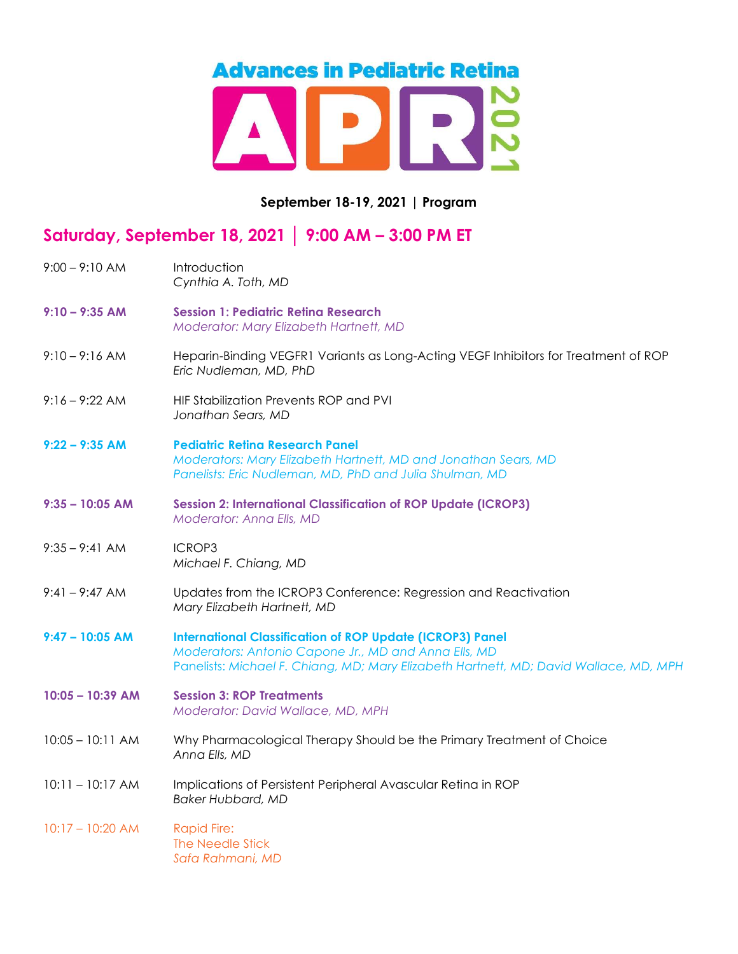## **Advances in Pediatric Retina**  $\overline{\mathbf{C}}$

## September 18-19, 2021 | Program

## Saturday, September 18, 2021 │ 9:00 AM – 3:00 PM ET

| $9:00 - 9:10$ AM   | Introduction<br>Cynthia A. Toth, MD                                                                                                                                                                               |
|--------------------|-------------------------------------------------------------------------------------------------------------------------------------------------------------------------------------------------------------------|
| $9:10 - 9:35$ AM   | <b>Session 1: Pediatric Retina Research</b><br>Moderator: Mary Elizabeth Hartnett, MD                                                                                                                             |
| $9:10 - 9:16$ AM   | Heparin-Binding VEGFR1 Variants as Long-Acting VEGF Inhibitors for Treatment of ROP<br>Eric Nudleman, MD, PhD                                                                                                     |
| $9:16 - 9:22$ AM   | HIF Stabilization Prevents ROP and PVI<br>Jonathan Sears, MD                                                                                                                                                      |
| $9:22 - 9:35$ AM   | <b>Pediatric Retina Research Panel</b><br>Moderators: Mary Elizabeth Hartnett, MD and Jonathan Sears, MD<br>Panelists: Eric Nudleman, MD, PhD and Julia Shulman, MD                                               |
| $9:35 - 10:05$ AM  | <b>Session 2: International Classification of ROP Update (ICROP3)</b><br>Moderator: Anna Ells, MD                                                                                                                 |
| $9:35 - 9:41$ AM   | <b>ICROP3</b><br>Michael F. Chiang, MD                                                                                                                                                                            |
| 9:41 - 9:47 AM     | Updates from the ICROP3 Conference: Regression and Reactivation<br>Mary Elizabeth Hartnett, MD                                                                                                                    |
| $9:47 - 10:05$ AM  | <b>International Classification of ROP Update (ICROP3) Panel</b><br>Moderators: Antonio Capone Jr., MD and Anna Ells, MD<br>Panelists: Michael F. Chiang, MD; Mary Elizabeth Hartnett, MD; David Wallace, MD, MPH |
| $10:05 - 10:39$ AM | <b>Session 3: ROP Treatments</b><br>Moderator: David Wallace, MD, MPH                                                                                                                                             |
| $10:05 - 10:11$ AM | Why Pharmacological Therapy Should be the Primary Treatment of Choice<br>Anna Ells, MD                                                                                                                            |
| $10:11 - 10:17$ AM | Implications of Persistent Peripheral Avascular Retina in ROP<br><b>Baker Hubbard, MD</b>                                                                                                                         |
| $10:17 - 10:20$ AM | <b>Rapid Fire:</b><br>The Needle Stick<br>Safa Rahmani, MD                                                                                                                                                        |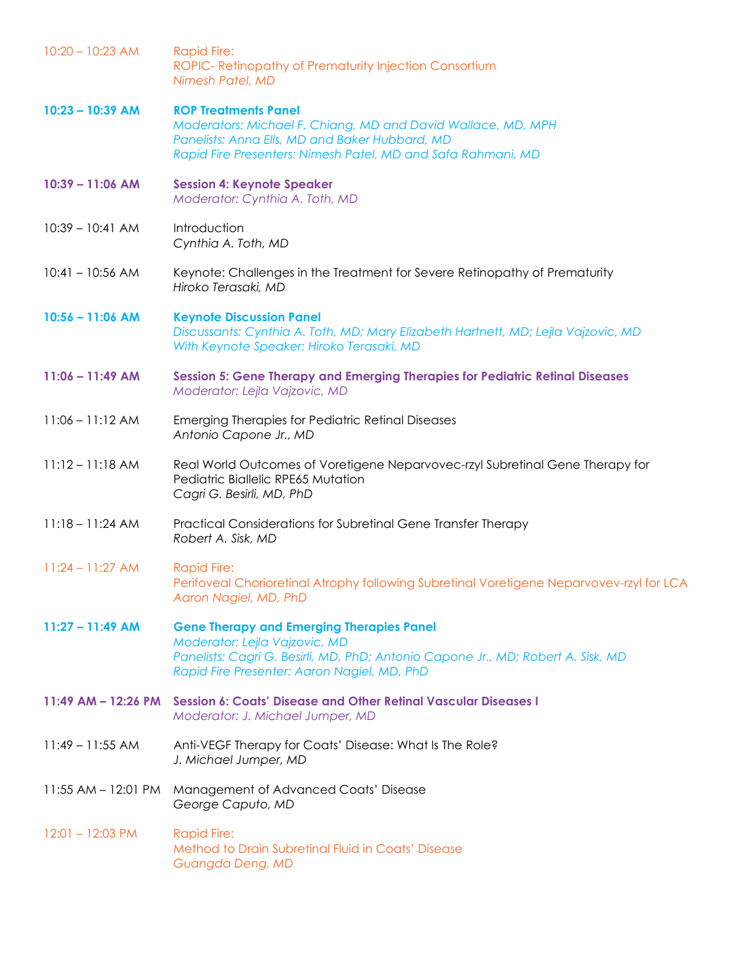| $10:20 - 10:23$ AM | <b>Rapid Fire:</b><br>ROPIC-Retinopathy of Prematurity Injection Consortium<br>Nimesh Patel, MD                                                                                                                      |
|--------------------|----------------------------------------------------------------------------------------------------------------------------------------------------------------------------------------------------------------------|
| $10:23 - 10:39$ AM | <b>ROP Treatments Panel</b><br>Moderators: Michael F. Chiang, MD and David Wallace, MD, MPH<br>Panelists: Anna Ells, MD and Baker Hubbard, MD<br>Rapid Fire Presenters: Nimesh Patel, MD and Safa Rahmani, MD        |
| $10:39 - 11:06$ AM | <b>Session 4: Keynote Speaker</b><br>Moderator: Cynthia A. Toth, MD                                                                                                                                                  |
| $10:39 - 10:41$ AM | Introduction<br>Cynthia A. Toth, MD                                                                                                                                                                                  |
| $10:41 - 10:56$ AM | Keynote: Challenges in the Treatment for Severe Retinopathy of Prematurity<br>Hiroko Terasaki, MD                                                                                                                    |
| $10:56 - 11:06$ AM | <b>Keynote Discussion Panel</b><br>Discussants: Cynthia A. Toth, MD; Mary Elizabeth Hartnett, MD; Lejla Vajzovic, MD<br>With Keynote Speaker: Hiroko Terasaki, MD                                                    |
| $11:06 - 11:49$ AM | Session 5: Gene Therapy and Emerging Therapies for Pediatric Retinal Diseases<br>Moderator: Lejla Vajzovic, MD                                                                                                       |
| $11:06 - 11:12$ AM | <b>Emerging Therapies for Pediatric Retinal Diseases</b><br>Antonio Capone Jr., MD                                                                                                                                   |
| $11:12 - 11:18$ AM | Real World Outcomes of Voretigene Neparvovec-rzyl Subretinal Gene Therapy for<br>Pediatric Biallelic RPE65 Mutation<br>Cagri G. Besirli, MD, PhD                                                                     |
| $11:18 - 11:24$ AM | Practical Considerations for Subretinal Gene Transfer Therapy<br>Robert A. Sisk, MD                                                                                                                                  |
| $11:24 - 11:27$ AM | <b>Rapid Fire:</b><br>Perifoveal Chorioretinal Atrophy following Subretinal Voretigene Neparvovev-rzyl for LCA<br>Aaron Nagiel, MD, PhD                                                                              |
| $11:27 - 11:49$ AM | <b>Gene Therapy and Emerging Therapies Panel</b><br>Moderator: Lejla Vajzovic, MD<br>Panelists: Cagri G. Besirli, MD, PhD; Antonio Capone Jr., MD; Robert A. Sisk, MD<br>Rapid Fire Presenter: Aaron Nagiel, MD, PhD |
|                    | 11:49 AM - 12:26 PM Session 6: Coats' Disease and Other Retinal Vascular Diseases I<br>Moderator: J. Michael Jumper, MD                                                                                              |
| $11:49 - 11:55$ AM | Anti-VEGF Therapy for Coats' Disease: What Is The Role?<br>J. Michael Jumper, MD                                                                                                                                     |
|                    | 11:55 AM - 12:01 PM Management of Advanced Coats' Disease<br>George Caputo, MD                                                                                                                                       |
| $12:01 - 12:03$ PM | <b>Rapid Fire:</b><br>Method to Drain Subretinal Fluid in Coats' Disease<br>Guangda Deng, MD                                                                                                                         |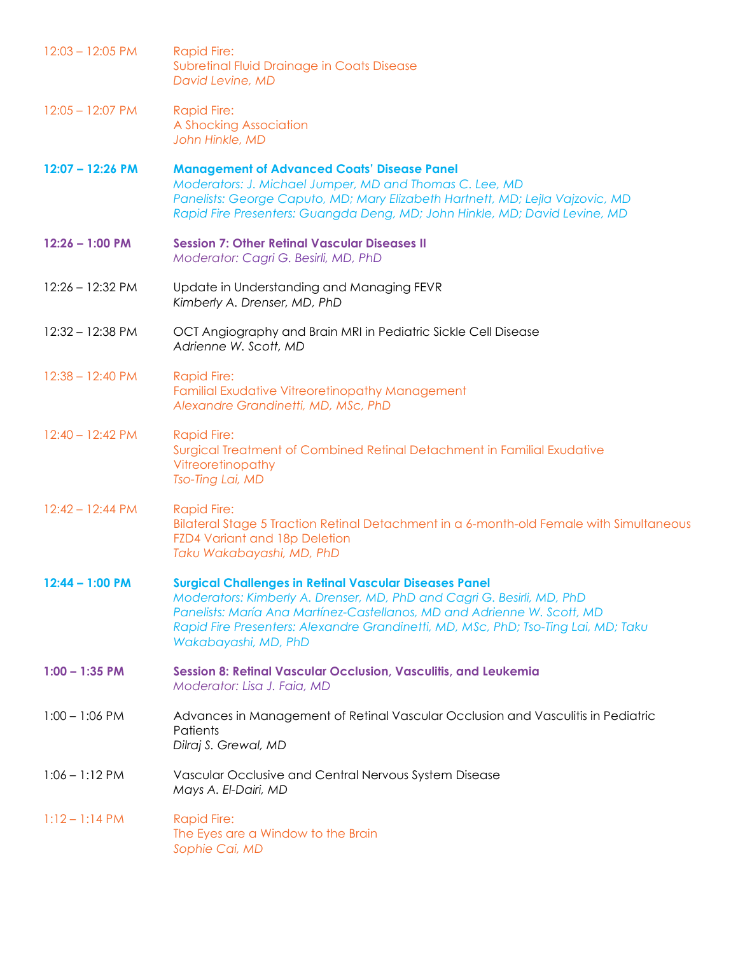| $12:03 - 12:05$ PM | <b>Rapid Fire:</b><br>Subretinal Fluid Drainage in Coats Disease<br>David Levine, MD                                                                                                                                                                                                                                             |
|--------------------|----------------------------------------------------------------------------------------------------------------------------------------------------------------------------------------------------------------------------------------------------------------------------------------------------------------------------------|
| $12:05 - 12:07$ PM | <b>Rapid Fire:</b><br>A Shocking Association<br>John Hinkle, MD                                                                                                                                                                                                                                                                  |
| $12:07 - 12:26$ PM | <b>Management of Advanced Coats' Disease Panel</b><br>Moderators: J. Michael Jumper, MD and Thomas C. Lee, MD<br>Panelists: George Caputo, MD; Mary Elizabeth Hartnett, MD; Lejla Vajzovic, MD<br>Rapid Fire Presenters: Guangda Deng, MD; John Hinkle, MD; David Levine, MD                                                     |
| $12:26 - 1:00$ PM  | <b>Session 7: Other Retinal Vascular Diseases II</b><br>Moderator: Cagri G. Besirli, MD, PhD                                                                                                                                                                                                                                     |
| 12:26 - 12:32 PM   | Update in Understanding and Managing FEVR<br>Kimberly A. Drenser, MD, PhD                                                                                                                                                                                                                                                        |
| 12:32 - 12:38 PM   | OCT Angiography and Brain MRI in Pediatric Sickle Cell Disease<br>Adrienne W. Scott, MD                                                                                                                                                                                                                                          |
| $12:38 - 12:40$ PM | <b>Rapid Fire:</b><br>Familial Exudative Vitreoretinopathy Management<br>Alexandre Grandinetti, MD, MSc, PhD                                                                                                                                                                                                                     |
| $12:40 - 12:42$ PM | <b>Rapid Fire:</b><br>Surgical Treatment of Combined Retinal Detachment in Familial Exudative<br>Vitreoretinopathy<br>Tso-Ting Lai, MD                                                                                                                                                                                           |
| $12:42 - 12:44$ PM | <b>Rapid Fire:</b><br>Bilateral Stage 5 Traction Retinal Detachment in a 6-month-old Female with Simultaneous<br>FZD4 Variant and 18p Deletion<br>Taku Wakabayashi, MD, PhD                                                                                                                                                      |
| $12:44 - 1:00$ PM  | <b>Surgical Challenges in Retinal Vascular Diseases Panel</b><br>Moderators: Kimberly A. Drenser, MD, PhD and Cagri G. Besirli, MD, PhD<br>Panelists: María Ana Martínez-Castellanos, MD and Adrienne W. Scott, MD<br>Rapid Fire Presenters: Alexandre Grandinetti, MD, MSc, PhD; Tso-Ting Lai, MD; Taku<br>Wakabayashi, MD, PhD |
| $1:00 - 1:35$ PM   | <b>Session 8: Retinal Vascular Occlusion, Vasculitis, and Leukemia</b><br>Moderator: Lisa J. Faia, MD                                                                                                                                                                                                                            |
| $1:00 - 1:06$ PM   | Advances in Management of Retinal Vascular Occlusion and Vasculitis in Pediatric<br>Patients<br>Dilraj S. Grewal, MD                                                                                                                                                                                                             |
| $1:06 - 1:12$ PM   | Vascular Occlusive and Central Nervous System Disease<br>Mays A. El-Dairi, MD                                                                                                                                                                                                                                                    |
| $1:12 - 1:14 PM$   | <b>Rapid Fire:</b><br>The Eyes are a Window to the Brain<br>Sophie Cai, MD                                                                                                                                                                                                                                                       |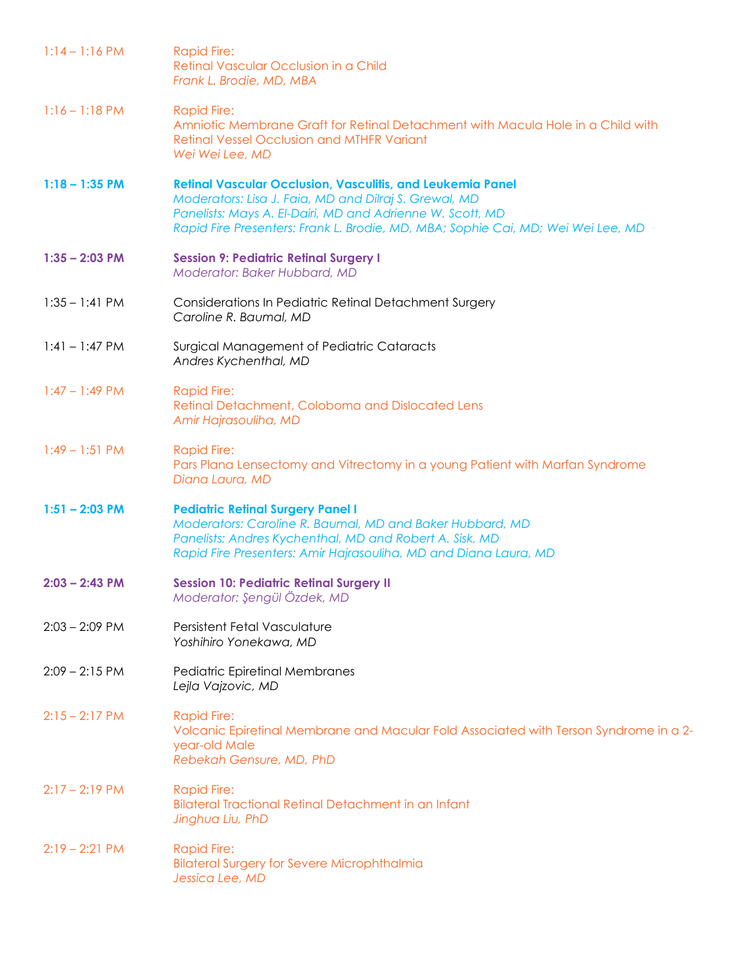| $1:14 - 1:16$ PM | <b>Rapid Fire:</b><br>Retinal Vascular Occlusion in a Child<br>Frank L. Brodie, MD, MBA                                                                                                                                                                                     |
|------------------|-----------------------------------------------------------------------------------------------------------------------------------------------------------------------------------------------------------------------------------------------------------------------------|
| $1:16 - 1:18$ PM | <b>Rapid Fire:</b><br>Amniotic Membrane Graft for Retinal Detachment with Macula Hole in a Child with<br><b>Retinal Vessel Occlusion and MTHFR Variant</b><br>Wei Wei Lee, MD                                                                                               |
| $1:18 - 1:35$ PM | <b>Retinal Vascular Occlusion, Vasculitis, and Leukemia Panel</b><br>Moderators: Lisa J. Faia, MD and Dilraj S. Grewal, MD<br>Panelists: Mays A. El-Dairi, MD and Adrienne W. Scott, MD<br>Rapid Fire Presenters: Frank L. Brodie, MD, MBA; Sophie Cai, MD; Wei Wei Lee, MD |
| $1:35 - 2:03$ PM | <b>Session 9: Pediatric Retinal Surgery I</b><br>Moderator: Baker Hubbard, MD                                                                                                                                                                                               |
| $1:35 - 1:41$ PM | Considerations In Pediatric Retinal Detachment Surgery<br>Caroline R. Baumal, MD                                                                                                                                                                                            |
| $1:41 - 1:47$ PM | Surgical Management of Pediatric Cataracts<br>Andres Kychenthal, MD                                                                                                                                                                                                         |
| $1:47 - 1:49$ PM | <b>Rapid Fire:</b><br>Retinal Detachment, Coloboma and Dislocated Lens<br>Amir Hajrasouliha, MD                                                                                                                                                                             |
| $1:49 - 1:51$ PM | <b>Rapid Fire:</b><br>Pars Plana Lensectomy and Vitrectomy in a young Patient with Marfan Syndrome<br>Diana Laura, MD                                                                                                                                                       |
| $1:51 - 2:03$ PM | <b>Pediatric Retinal Surgery Panel I</b><br>Moderators: Caroline R. Baumal, MD and Baker Hubbard, MD<br>Panelists: Andres Kychenthal, MD and Robert A. Sisk, MD<br>Rapid Fire Presenters: Amir Hajrasouliha, MD and Diana Laura, MD                                         |
| $2:03 - 2:43$ PM | <b>Session 10: Pediatric Retinal Surgery II</b><br>Moderator: Şengül Özdek, MD                                                                                                                                                                                              |
| $2:03 - 2:09$ PM | Persistent Fetal Vasculature<br>Yoshihiro Yonekawa, MD                                                                                                                                                                                                                      |
| $2:09 - 2:15$ PM | Pediatric Epiretinal Membranes<br>Lejla Vajzovic, MD                                                                                                                                                                                                                        |
| $2:15 - 2:17$ PM | <b>Rapid Fire:</b><br>Volcanic Epiretinal Membrane and Macular Fold Associated with Terson Syndrome in a 2-<br>year-old Male<br>Rebekah Gensure, MD, PhD                                                                                                                    |
| $2:17 - 2:19$ PM | <b>Rapid Fire:</b><br>Bilateral Tractional Retinal Detachment in an Infant<br>Jinghua Liu, PhD                                                                                                                                                                              |
| $2:19 - 2:21$ PM | <b>Rapid Fire:</b><br><b>Bilateral Surgery for Severe Microphthalmia</b><br>Jessica Lee, MD                                                                                                                                                                                 |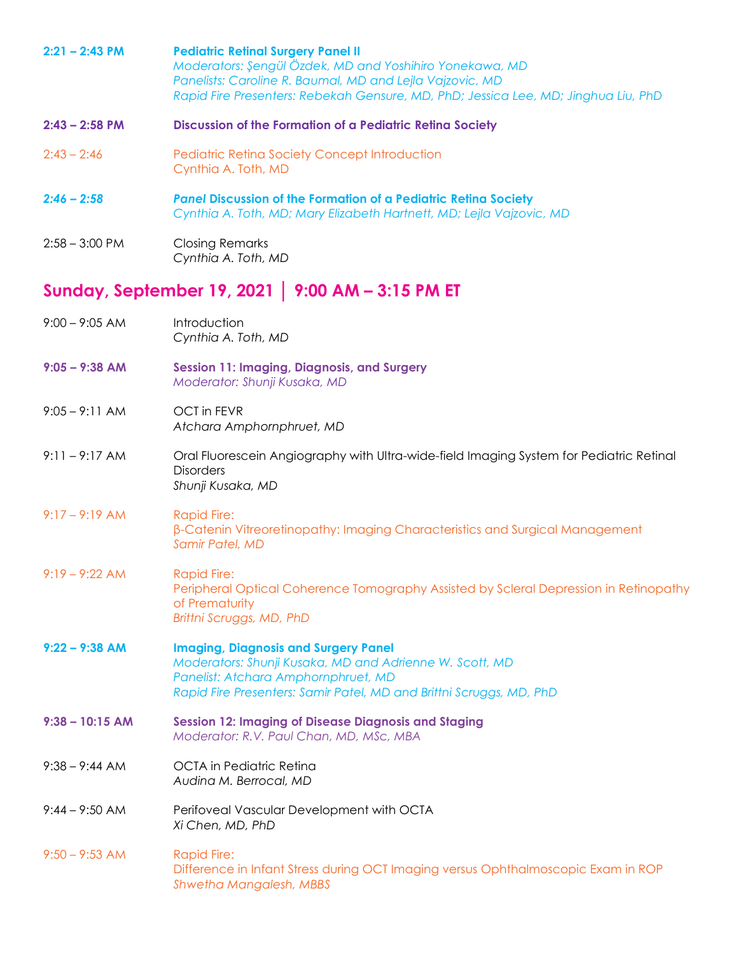| $2:21 - 2:43$ PM  | <b>Pediatric Retinal Surgery Panel II</b><br>Moderators: Şengül Özdek, MD and Yoshihiro Yonekawa, MD<br>Panelists: Caroline R. Baumal, MD and Lejla Vajzovic, MD<br>Rapid Fire Presenters: Rebekah Gensure, MD, PhD; Jessica Lee, MD; Jinghua Liu, PhD |
|-------------------|--------------------------------------------------------------------------------------------------------------------------------------------------------------------------------------------------------------------------------------------------------|
| $2:43 - 2:58$ PM  | Discussion of the Formation of a Pediatric Retina Society                                                                                                                                                                                              |
| $2:43 - 2:46$     | <b>Pediatric Retina Society Concept Introduction</b><br>Cynthia A. Toth, MD                                                                                                                                                                            |
| $2:46 - 2:58$     | <b>Panel Discussion of the Formation of a Pediatric Retina Society</b><br>Cynthia A. Toth, MD; Mary Elizabeth Hartnett, MD; Lejla Vajzovic, MD                                                                                                         |
| $2:58 - 3:00$ PM  | <b>Closing Remarks</b><br>Cynthia A. Toth, MD                                                                                                                                                                                                          |
|                   | Sunday, September 19, 2021   9:00 AM - 3:15 PM ET                                                                                                                                                                                                      |
| $9:00 - 9:05$ AM  | Introduction<br>Cynthia A. Toth, MD                                                                                                                                                                                                                    |
| $9:05 - 9:38$ AM  | <b>Session 11: Imaging, Diagnosis, and Surgery</b><br>Moderator: Shunji Kusaka, MD                                                                                                                                                                     |
| $9:05 - 9:11$ AM  | <b>OCT</b> in FEVR<br>Atchara Amphornphruet, MD                                                                                                                                                                                                        |
| $9:11 - 9:17 AM$  | Oral Fluorescein Angiography with Ultra-wide-field Imaging System for Pediatric Retinal<br><b>Disorders</b><br>Shunji Kusaka, MD                                                                                                                       |
| $9:17 - 9:19$ AM  | <b>Rapid Fire:</b><br>β-Catenin Vitreoretinopathy: Imaging Characteristics and Surgical Management<br>Samir Patel, MD                                                                                                                                  |
| $9:19 - 9:22 AM$  | <b>Rapid Fire:</b><br>Peripheral Optical Coherence Tomography Assisted by Scleral Depression in Retinopathy<br>of Prematurity<br>Brittni Scruggs, MD, PhD                                                                                              |
| $9:22 - 9:38$ AM  | <b>Imaging, Diagnosis and Surgery Panel</b><br>Moderators: Shunji Kusaka, MD and Adrienne W. Scott, MD<br>Panelist: Atchara Amphornphruet, MD<br>Rapid Fire Presenters: Samir Patel, MD and Brittni Scruggs, MD, PhD                                   |
| $9:38 - 10:15$ AM | <b>Session 12: Imaging of Disease Diagnosis and Staging</b><br>Moderator: R.V. Paul Chan, MD, MSc, MBA                                                                                                                                                 |
| $9:38 - 9:44$ AM  | <b>OCTA</b> in Pediatric Retina<br>Audina M. Berrocal, MD                                                                                                                                                                                              |
| $9:44 - 9:50$ AM  | Perifoveal Vascular Development with OCTA<br>Xi Chen, MD, PhD                                                                                                                                                                                          |
| $9:50 - 9:53$ AM  | <b>Rapid Fire:</b><br>Difference in Infant Stress during OCT Imaging versus Ophthalmoscopic Exam in ROP<br><b>Shwetha Mangalesh, MBBS</b>                                                                                                              |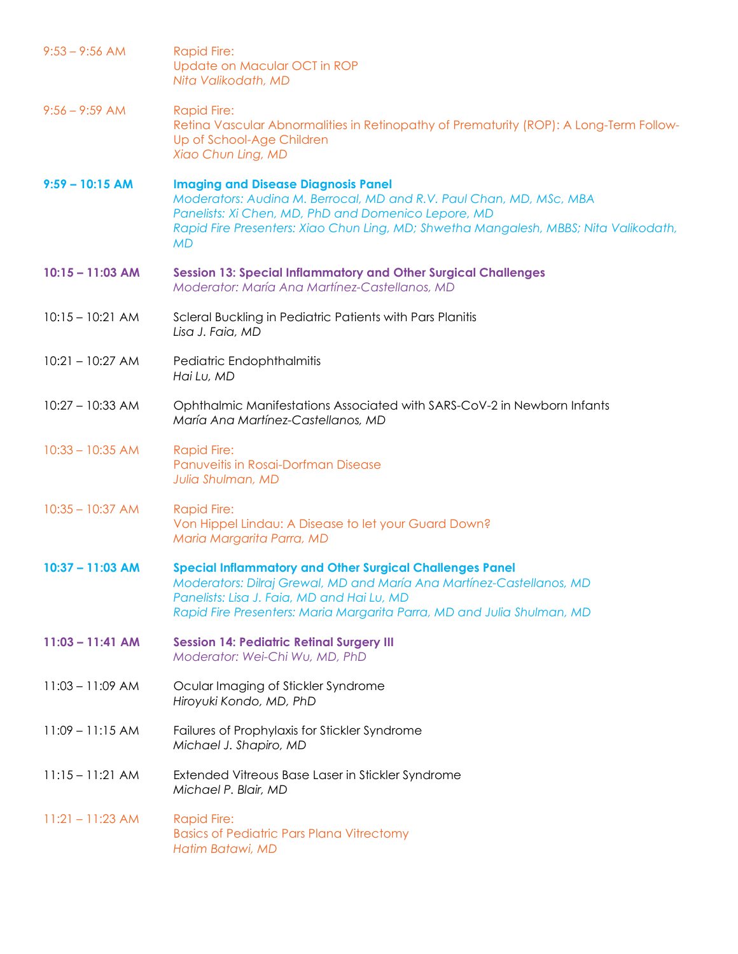| $9:53 - 9:56$ AM   | <b>Rapid Fire:</b><br>Update on Macular OCT in ROP<br>Nita Valikodath, MD                                                                                                                                                                                                     |
|--------------------|-------------------------------------------------------------------------------------------------------------------------------------------------------------------------------------------------------------------------------------------------------------------------------|
| $9:56 - 9:59$ AM   | <b>Rapid Fire:</b><br>Retina Vascular Abnormalities in Retinopathy of Prematurity (ROP): A Long-Term Follow-<br>Up of School-Age Children<br>Xiao Chun Ling, MD                                                                                                               |
| $9:59 - 10:15$ AM  | <b>Imaging and Disease Diagnosis Panel</b><br>Moderators: Audina M. Berrocal, MD and R.V. Paul Chan, MD, MSc, MBA<br>Panelists: Xi Chen, MD, PhD and Domenico Lepore, MD<br>Rapid Fire Presenters: Xiao Chun Ling, MD; Shwetha Mangalesh, MBBS; Nita Valikodath,<br><b>MD</b> |
| $10:15 - 11:03$ AM | <b>Session 13: Special Inflammatory and Other Surgical Challenges</b><br>Moderator: María Ana Martínez-Castellanos, MD                                                                                                                                                        |
| $10:15 - 10:21$ AM | Scleral Buckling in Pediatric Patients with Pars Planitis<br>Lisa J. Faia, MD                                                                                                                                                                                                 |
| $10:21 - 10:27$ AM | Pediatric Endophthalmitis<br>Hai Lu, MD                                                                                                                                                                                                                                       |
| $10:27 - 10:33$ AM | Ophthalmic Manifestations Associated with SARS-CoV-2 in Newborn Infants<br>María Ana Martínez-Castellanos, MD                                                                                                                                                                 |
| $10:33 - 10:35$ AM | <b>Rapid Fire:</b><br>Panuveitis in Rosai-Dorfman Disease<br>Julia Shulman, MD                                                                                                                                                                                                |
| $10:35 - 10:37$ AM | <b>Rapid Fire:</b><br>Von Hippel Lindau: A Disease to let your Guard Down?<br>Maria Margarita Parra, MD                                                                                                                                                                       |
| $10:37 - 11:03$ AM | <b>Special Inflammatory and Other Surgical Challenges Panel</b><br>Moderators: Dilraj Grewal, MD and María Ana Martínez-Castellanos, MD<br>Panelists: Lisa J. Faia, MD and Hai Lu, MD<br>Rapid Fire Presenters: Maria Margarita Parra, MD and Julia Shulman, MD               |
| $11:03 - 11:41$ AM | <b>Session 14: Pediatric Retinal Surgery III</b><br>Moderator: Wei-Chi Wu, MD, PhD                                                                                                                                                                                            |
| $11:03 - 11:09$ AM | Ocular Imaging of Stickler Syndrome<br>Hiroyuki Kondo, MD, PhD                                                                                                                                                                                                                |
| $11:09 - 11:15$ AM | Failures of Prophylaxis for Stickler Syndrome<br>Michael J. Shapiro, MD                                                                                                                                                                                                       |
| $11:15 - 11:21$ AM | Extended Vitreous Base Laser in Stickler Syndrome<br>Michael P. Blair, MD                                                                                                                                                                                                     |
| $11:21 - 11:23$ AM | <b>Rapid Fire:</b><br><b>Basics of Pediatric Pars Plana Vitrectomy</b><br>Hatim Batawi, MD                                                                                                                                                                                    |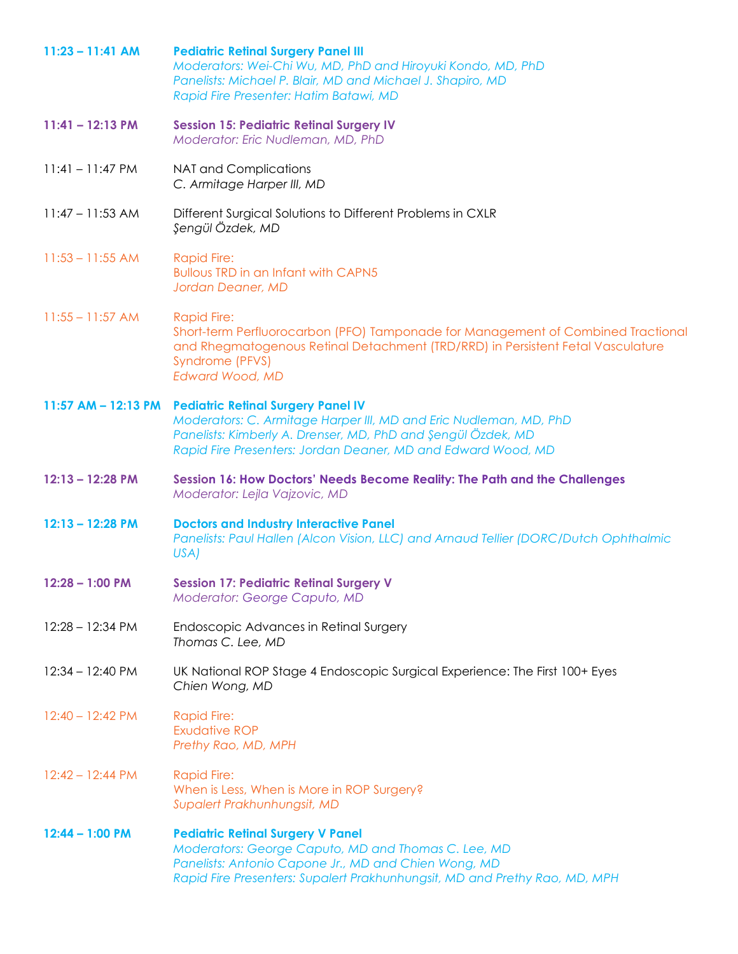| $11:23 - 11:41$ AM | <b>Pediatric Retinal Surgery Panel III</b><br>Moderators: Wei-Chi Wu, MD, PhD and Hiroyuki Kondo, MD, PhD<br>Panelists: Michael P. Blair, MD and Michael J. Shapiro, MD<br>Rapid Fire Presenter: Hatim Batawi, MD                                           |
|--------------------|-------------------------------------------------------------------------------------------------------------------------------------------------------------------------------------------------------------------------------------------------------------|
| $11:41 - 12:13 PM$ | <b>Session 15: Pediatric Retinal Surgery IV</b><br>Moderator: Eric Nudleman, MD, PhD                                                                                                                                                                        |
| $11:41 - 11:47$ PM | <b>NAT and Complications</b><br>C. Armitage Harper III, MD                                                                                                                                                                                                  |
| $11:47 - 11:53$ AM | Different Surgical Solutions to Different Problems in CXLR<br>Şengül Özdek, MD                                                                                                                                                                              |
| $11:53 - 11:55$ AM | <b>Rapid Fire:</b><br><b>Bullous TRD in an Infant with CAPN5</b><br>Jordan Deaner, MD                                                                                                                                                                       |
| $11:55 - 11:57$ AM | <b>Rapid Fire:</b><br>Short-term Perfluorocarbon (PFO) Tamponade for Management of Combined Tractional<br>and Rhegmatogenous Retinal Detachment (TRD/RRD) in Persistent Fetal Vasculature<br>Syndrome (PFVS)<br><b>Edward Wood, MD</b>                      |
|                    | 11:57 AM - 12:13 PM Pediatric Retinal Surgery Panel IV<br>Moderators: C. Armitage Harper III, MD and Eric Nudleman, MD, PhD<br>Panelists: Kimberly A. Drenser, MD, PhD and Şengül Özdek, MD<br>Rapid Fire Presenters: Jordan Deaner, MD and Edward Wood, MD |
| $12:13 - 12:28$ PM | Session 16: How Doctors' Needs Become Reality: The Path and the Challenges<br>Moderator: Lejla Vajzovic, MD                                                                                                                                                 |
| 12:13 - 12:28 PM   | <b>Doctors and Industry Interactive Panel</b><br>Panelists: Paul Hallen (Alcon Vision, LLC) and Arnaud Tellier (DORC/Dutch Ophthalmic<br>USA)                                                                                                               |
| $12:28 - 1:00$ PM  | <b>Session 17: Pediatric Retinal Surgery V</b><br>Moderator: George Caputo, MD                                                                                                                                                                              |
| 12:28 - 12:34 PM   | Endoscopic Advances in Retinal Surgery<br>Thomas C. Lee, MD                                                                                                                                                                                                 |
| $12:34 - 12:40$ PM | UK National ROP Stage 4 Endoscopic Surgical Experience: The First 100+ Eyes<br>Chien Wong, MD                                                                                                                                                               |
| $12:40 - 12:42$ PM | <b>Rapid Fire:</b><br><b>Exudative ROP</b><br>Prethy Rao, MD, MPH                                                                                                                                                                                           |
| $12:42 - 12:44$ PM | <b>Rapid Fire:</b><br>When is Less, When is More in ROP Surgery?<br>Supalert Prakhunhungsit, MD                                                                                                                                                             |
| $12:44 - 1:00$ PM  | <b>Pediatric Retinal Surgery V Panel</b><br>Moderators: George Caputo, MD and Thomas C. Lee, MD                                                                                                                                                             |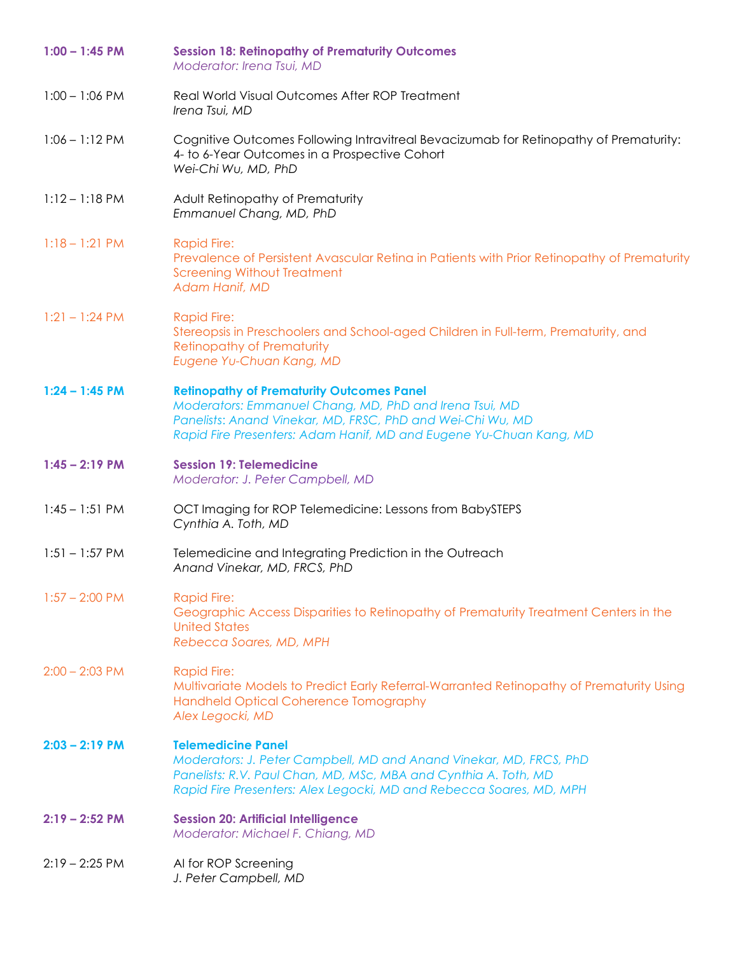| $1:00 - 1:45$ PM         | <b>Session 18: Retinopathy of Prematurity Outcomes</b><br>Moderator: Irena Tsui, MD                                                                                                                                                            |
|--------------------------|------------------------------------------------------------------------------------------------------------------------------------------------------------------------------------------------------------------------------------------------|
| $1:00 - 1:06$ PM         | Real World Visual Outcomes After ROP Treatment<br>Irena Tsui, MD                                                                                                                                                                               |
| $1:06 - 1:12$ PM         | Cognitive Outcomes Following Intravitreal Bevacizumab for Retinopathy of Prematurity:<br>4- to 6-Year Outcomes in a Prospective Cohort<br>Wei-Chi Wu, MD, PhD                                                                                  |
| $1:12 - 1:18$ PM         | Adult Retinopathy of Prematurity<br>Emmanuel Chang, MD, PhD                                                                                                                                                                                    |
| $1:18 - 1:21$ PM         | <b>Rapid Fire:</b><br>Prevalence of Persistent Avascular Retina in Patients with Prior Retinopathy of Prematurity<br><b>Screening Without Treatment</b><br>Adam Hanif, MD                                                                      |
| $1:21 - 1:24 \text{ PM}$ | <b>Rapid Fire:</b><br>Stereopsis in Preschoolers and School-aged Children in Full-term, Prematurity, and<br><b>Retinopathy of Prematurity</b><br>Eugene Yu-Chuan Kang, MD                                                                      |
| $1:24 - 1:45$ PM         | <b>Retinopathy of Prematurity Outcomes Panel</b><br>Moderators: Emmanuel Chang, MD, PhD and Irena Tsui, MD<br>Panelists: Anand Vinekar, MD, FRSC, PhD and Wei-Chi Wu, MD<br>Rapid Fire Presenters: Adam Hanif, MD and Eugene Yu-Chuan Kang, MD |
| $1:45 - 2:19$ PM         | <b>Session 19: Telemedicine</b><br>Moderator: J. Peter Campbell, MD                                                                                                                                                                            |
| $1:45 - 1:51$ PM         | OCT Imaging for ROP Telemedicine: Lessons from BabySTEPS<br>Cynthia A. Toth, MD                                                                                                                                                                |
| $1:51 - 1:57$ PM         | Telemedicine and Integrating Prediction in the Outreach<br>Anand Vinekar, MD, FRCS, PhD                                                                                                                                                        |
| $1:57 - 2:00$ PM         | <b>Rapid Fire:</b><br>Geographic Access Disparities to Retinopathy of Prematurity Treatment Centers in the<br><b>United States</b><br>Rebecca Soares, MD, MPH                                                                                  |
| $2:00 - 2:03$ PM         | <b>Rapid Fire:</b><br>Multivariate Models to Predict Early Referral-Warranted Retinopathy of Prematurity Using<br>Handheld Optical Coherence Tomography<br>Alex Legocki, MD                                                                    |
| $2:03 - 2:19$ PM         | <b>Telemedicine Panel</b><br>Moderators: J. Peter Campbell, MD and Anand Vinekar, MD, FRCS, PhD<br>Panelists: R.V. Paul Chan, MD, MSc, MBA and Cynthia A. Toth, MD<br>Rapid Fire Presenters: Alex Legocki, MD and Rebecca Soares, MD, MPH      |
| $2:19 - 2:52$ PM         | <b>Session 20: Artificial Intelligence</b><br>Moderator: Michael F. Chiang, MD                                                                                                                                                                 |
| $2:19 - 2:25$ PM         | AI for ROP Screening<br>J. Peter Campbell, MD                                                                                                                                                                                                  |